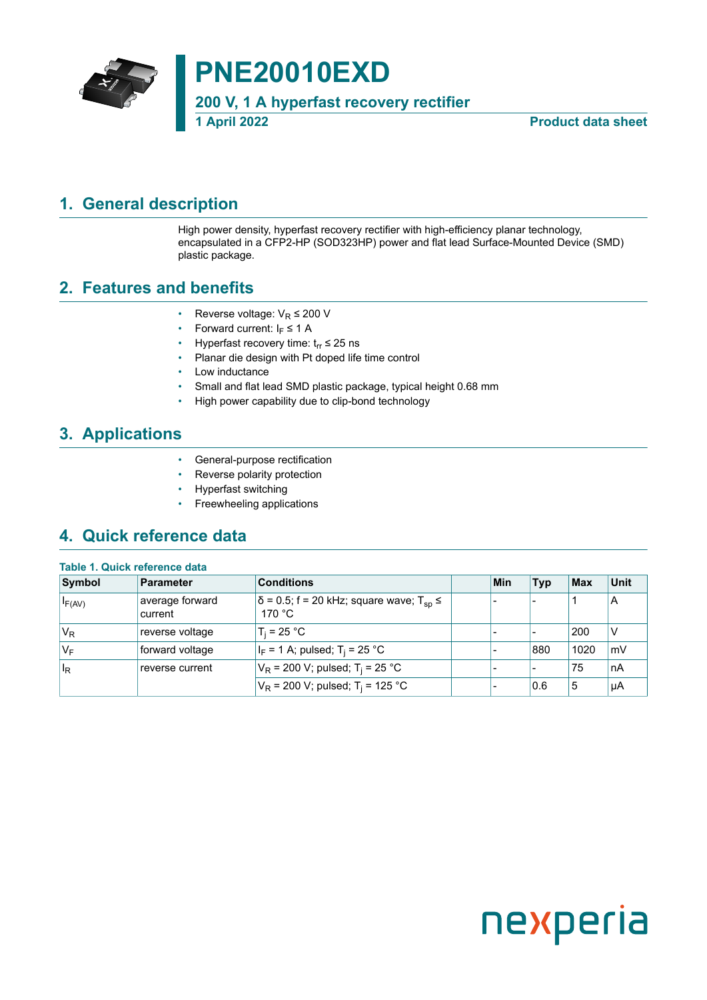

**PNE20010EXD**

**200 V, 1 A hyperfast recovery rectifier**

**1 April 2022 Product data sheet**

#### <span id="page-0-0"></span>**1. General description**

High power density, hyperfast recovery rectifier with high-efficiency planar technology, encapsulated in a CFP2-HP (SOD323HP) power and flat lead Surface-Mounted Device (SMD) plastic package.

#### <span id="page-0-1"></span>**2. Features and benefits**

- Reverse voltage:  $V_R \leq 200$  V
- Forward current:  $I_F \leq 1$  A
- Hyperfast recovery time:  $t_{rr} \le 25$  ns
- Planar die design with Pt doped life time control
- Low inductance
- Small and flat lead SMD plastic package, typical height 0.68 mm
- High power capability due to clip-bond technology

### <span id="page-0-2"></span>**3. Applications**

- General-purpose rectification
- Reverse polarity protection
- Hyperfast switching
- Freewheeling applications

### <span id="page-0-3"></span>**4. Quick reference data**

| Table 1. Quick reference data |                            |                                                                            |  |            |            |      |                 |
|-------------------------------|----------------------------|----------------------------------------------------------------------------|--|------------|------------|------|-----------------|
| Symbol                        | <b>Parameter</b>           | <b>Conditions</b>                                                          |  | <b>Min</b> | <b>Typ</b> | Max  | <b>Unit</b>     |
| $I_{F(AV)}$                   | average forward<br>current | $\delta$ = 0.5; f = 20 kHz; square wave; T <sub>sp</sub> $\leq$<br>170 °C. |  |            | -          |      | A               |
| 'V <sub>R</sub>               | reverse voltage            | $T_i = 25 °C$                                                              |  |            |            | 200  | ٧               |
| $V_F$                         | forward voltage            | $ I_F = 1 A$ ; pulsed; T <sub>i</sub> = 25 °C                              |  |            | 880        | 1020 | mV              |
| $\mathsf{I}_\mathsf{R}$       | reverse current            | $V_R$ = 200 V; pulsed; T <sub>i</sub> = 25 °C                              |  |            |            | 75   | nA              |
|                               |                            | $V_R$ = 200 V; pulsed; T <sub>i</sub> = 125 °C                             |  |            | 0.6        | 5    | <sup>ι</sup> μΑ |

# nexperia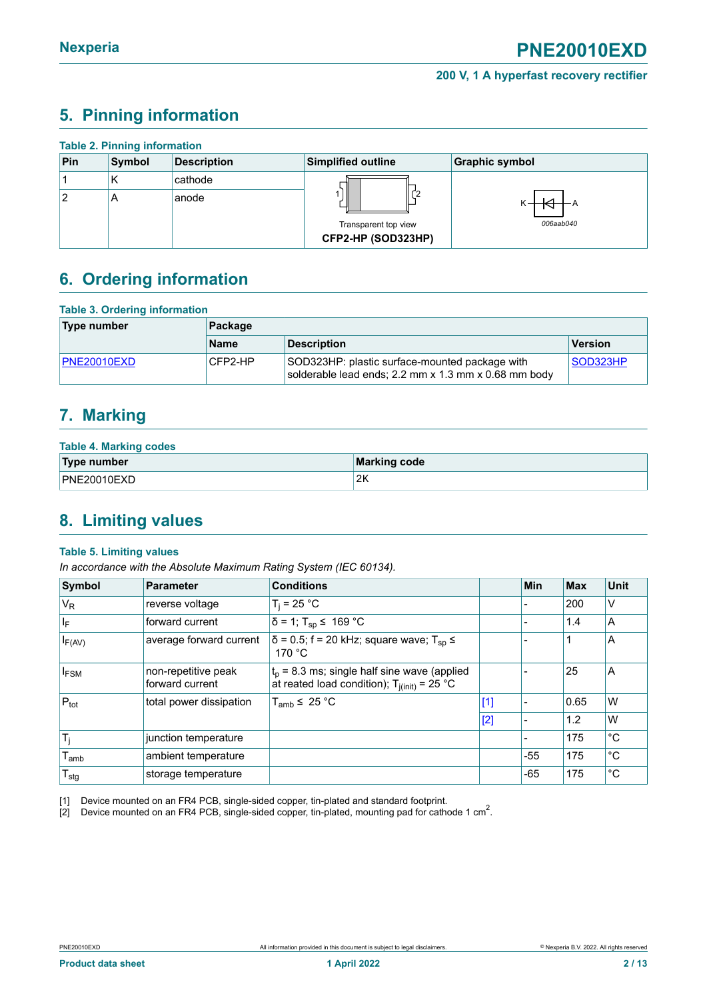### <span id="page-1-1"></span><span id="page-1-0"></span>**5. Pinning information**

|     | <b>Table 2. Pinning information</b> |                    |                                            |                       |  |  |  |  |  |
|-----|-------------------------------------|--------------------|--------------------------------------------|-----------------------|--|--|--|--|--|
| Pin | Symbol                              | <b>Description</b> | <b>Simplified outline</b>                  | <b>Graphic symbol</b> |  |  |  |  |  |
|     | К                                   | cathode            |                                            |                       |  |  |  |  |  |
| 2   | A                                   | anode              |                                            |                       |  |  |  |  |  |
|     |                                     |                    | Transparent top view<br>CFP2-HP (SOD323HP) | 006aab040             |  |  |  |  |  |

### <span id="page-1-2"></span>**6. Ordering information**

| <b>Table 3. Ordering information</b> |             |                                                                                                        |          |  |  |  |
|--------------------------------------|-------------|--------------------------------------------------------------------------------------------------------|----------|--|--|--|
| Type number                          | Package     |                                                                                                        |          |  |  |  |
|                                      | <b>Name</b> | Description                                                                                            | Version  |  |  |  |
| <b>PNE20010EXD</b>                   | CFP2-HP     | SOD323HP: plastic surface-mounted package with<br>solderable lead ends; 2.2 mm x 1.3 mm x 0.68 mm body | SOD323HP |  |  |  |

### <span id="page-1-3"></span>**7. Marking**

| <b>Table 4. Marking codes</b> |              |
|-------------------------------|--------------|
| Type number                   | Marking code |
| PNE20010EXD                   | 2ĸ           |

### <span id="page-1-4"></span>**8. Limiting values**

#### **Table 5. Limiting values**

*In accordance with the Absolute Maximum Rating System (IEC 60134).*

| Symbol           | <b>Parameter</b>                       | <b>Conditions</b>                                                                                 |       | <b>Min</b> | <b>Max</b> | <b>Unit</b> |
|------------------|----------------------------------------|---------------------------------------------------------------------------------------------------|-------|------------|------------|-------------|
| V <sub>R</sub>   | reverse voltage                        | $T_i = 25 °C$                                                                                     |       |            | 200        | V           |
| $ I_F $          | forward current                        | $δ = 1$ ; T <sub>sp</sub> ≤ 169 °C                                                                |       |            | 1.4        | A           |
| $I_{F(AV)}$      | average forward current                | $\delta$ = 0.5; f = 20 kHz; square wave; T <sub>sp</sub> $\leq$<br>170 $\degree$ C                |       |            |            | A           |
| <b>IFSM</b>      | non-repetitive peak<br>forward current | $t_p$ = 8.3 ms; single half sine wave (applied<br>at reated load condition); $T_{j(int)} = 25 °C$ |       |            | 25         | A           |
| $P_{\text{tot}}$ | total power dissipation                | $T_{amb}$ $\leq$ 25 °C                                                                            | $[1]$ |            | 0.65       | W           |
|                  |                                        |                                                                                                   | $[2]$ |            | 1.2        | W           |
| $T_i$            | junction temperature                   |                                                                                                   |       |            | 175        | °C          |
| $T_{amb}$        | ambient temperature                    |                                                                                                   |       | $-55$      | 175        | °C          |
| $T_{\text{stg}}$ | storage temperature                    |                                                                                                   |       | $-65$      | 175        | °C          |

[1] Device mounted on an FR4 PCB, single-sided copper, tin-plated and standard footprint.

[2] Device mounted on an FR4 PCB, single-sided copper, tin-plated, mounting pad for cathode 1 cm<sup>2</sup>.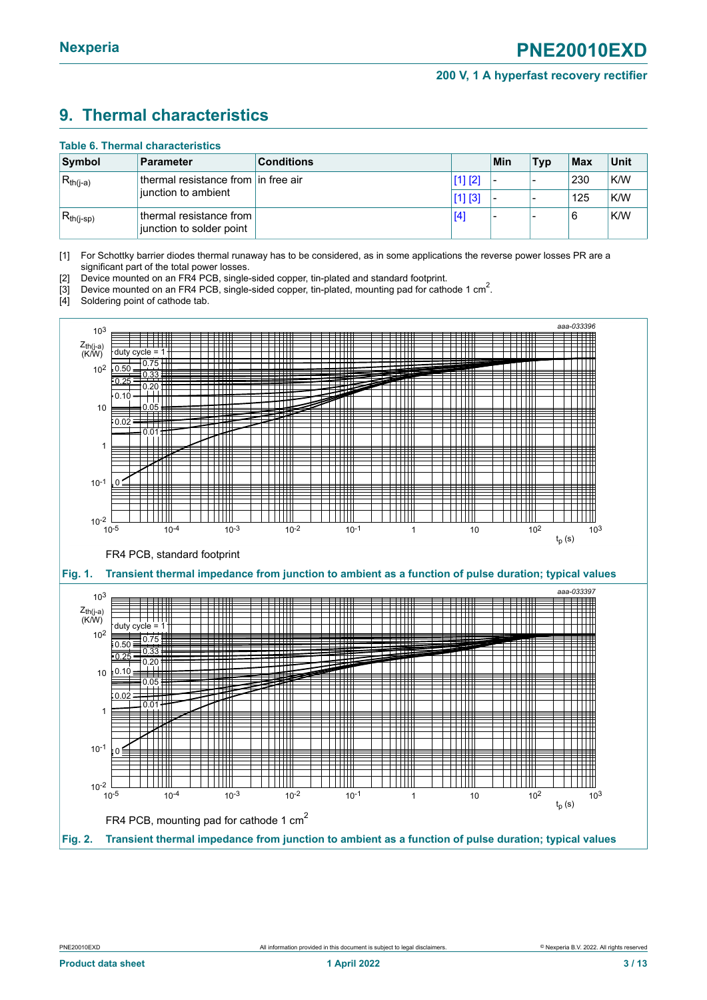### <span id="page-2-1"></span><span id="page-2-0"></span>**9. Thermal characteristics**

#### **Table 6. Thermal characteristics**

| Symbol          | <b>Parameter</b>                                    | <b>Conditions</b> |         | Min                      | <b>Typ</b> | $ $ Max | Unit |
|-----------------|-----------------------------------------------------|-------------------|---------|--------------------------|------------|---------|------|
| $ R_{th(j-a)}$  | thermal resistance from in free air                 |                   | [1] [2] | $\overline{\phantom{0}}$ |            | 230     | K/W  |
|                 | iunction to ambient                                 |                   | [1] [3] |                          |            | 125     | K/W  |
| $ R_{th(j-sp)}$ | thermal resistance from<br>junction to solder point |                   | [4]     |                          |            | 6       | K/W  |

[1] For Schottky barrier diodes thermal runaway has to be considered, as in some applications the reverse power losses PR are a significant part of the total power losses.

[2] Device mounted on an FR4 PCB, single-sided copper, tin-plated and standard footprint.

<sup>1</sup>3] Device mounted on an FR4 PCB, single-sided copper, tin-plated, mounting pad for cathode 1 cm<sup>2</sup>.

[4] Soldering point of cathode tab.

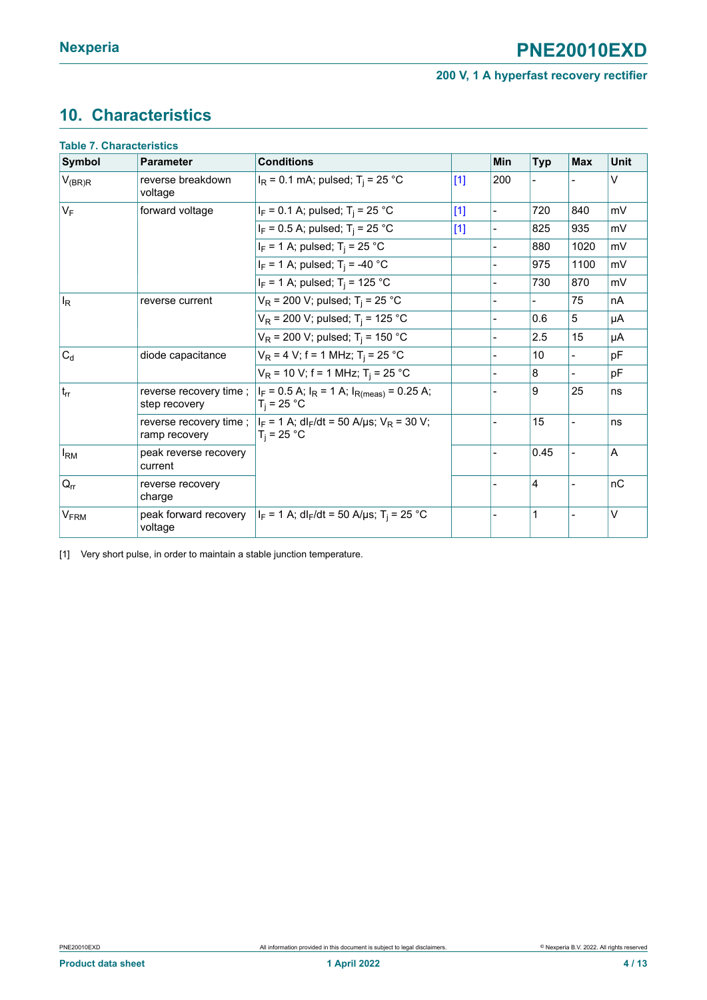# <span id="page-3-1"></span><span id="page-3-0"></span>**10. Characteristics**

| <b>Symbol</b>          | Parameter                        | <b>Conditions</b>                                                                                                     |       | Min                      | <b>Typ</b> | <b>Max</b>     | Unit   |
|------------------------|----------------------------------|-----------------------------------------------------------------------------------------------------------------------|-------|--------------------------|------------|----------------|--------|
| $V_{(BR)R}$            | reverse breakdown<br>voltage     | $I_R$ = 0.1 mA; pulsed; T <sub>i</sub> = 25 °C                                                                        | $[1]$ | 200                      |            |                | v      |
| $V_F$                  | forward voltage                  | $I_F = 0.1$ A; pulsed; $T_i = 25$ °C                                                                                  | $[1]$ | $\overline{\phantom{a}}$ | 720        | 840            | mV     |
|                        |                                  | $I_F = 0.5$ A; pulsed; T <sub>i</sub> = 25 °C                                                                         | $[1]$ |                          | 825        | 935            | mV     |
|                        |                                  | $I_F$ = 1 A; pulsed; T <sub>i</sub> = 25 °C                                                                           |       |                          | 880        | 1020           | mV     |
|                        |                                  | $I_F$ = 1 A; pulsed; T <sub>i</sub> = -40 °C                                                                          |       |                          | 975        | 1100           | mV     |
|                        |                                  | $I_F = 1$ A; pulsed; T <sub>i</sub> = 125 °C                                                                          |       |                          | 730        | 870            | mV     |
| $I_R$                  | reverse current                  | $V_R$ = 200 V; pulsed; T <sub>i</sub> = 25 °C                                                                         |       |                          |            | 75             | nA     |
|                        |                                  | $V_R$ = 200 V; pulsed; T <sub>i</sub> = 125 °C                                                                        |       |                          | 0.6        | 5              | μA     |
|                        |                                  | $V_R$ = 200 V; pulsed; T <sub>i</sub> = 150 °C                                                                        |       |                          | 2.5        | 15             | μA     |
| $C_d$                  | diode capacitance                | $V_R = 4 V$ ; f = 1 MHz; T <sub>i</sub> = 25 °C                                                                       |       |                          | 10         | $\overline{a}$ | pF     |
|                        |                                  | $V_R$ = 10 V; f = 1 MHz; T <sub>i</sub> = 25 °C                                                                       |       |                          | 8          |                | pF     |
| $t_{rr}$               | step recovery                    | reverse recovery time ; $ I_F = 0.5 A$ ; $I_R = 1 A$ ; $I_{R(meas)} = 0.25 A$ ;<br>$T_i = 25 °C$                      |       |                          | 9          | 25             | ns     |
|                        | ramp recovery                    | reverse recovery time ; $ I_F = 1 \text{ A}$ ; dl <sub>F</sub> /dt = 50 A/µs; V <sub>R</sub> = 30 V;<br>$T_i = 25 °C$ |       |                          | 15         |                | ns     |
| $I_{\rm RM}$           | peak reverse recovery<br>current |                                                                                                                       |       |                          | 0.45       |                | A      |
| $Q_{rr}$               | reverse recovery<br>charge       |                                                                                                                       |       |                          | 4          |                | nC     |
| <b>V<sub>FRM</sub></b> | peak forward recovery<br>voltage | $ I_F = 1 A$ ; dl <sub>F</sub> /dt = 50 A/µs; T <sub>i</sub> = 25 °C                                                  |       |                          | 1          |                | $\vee$ |

[1] Very short pulse, in order to maintain a stable junction temperature.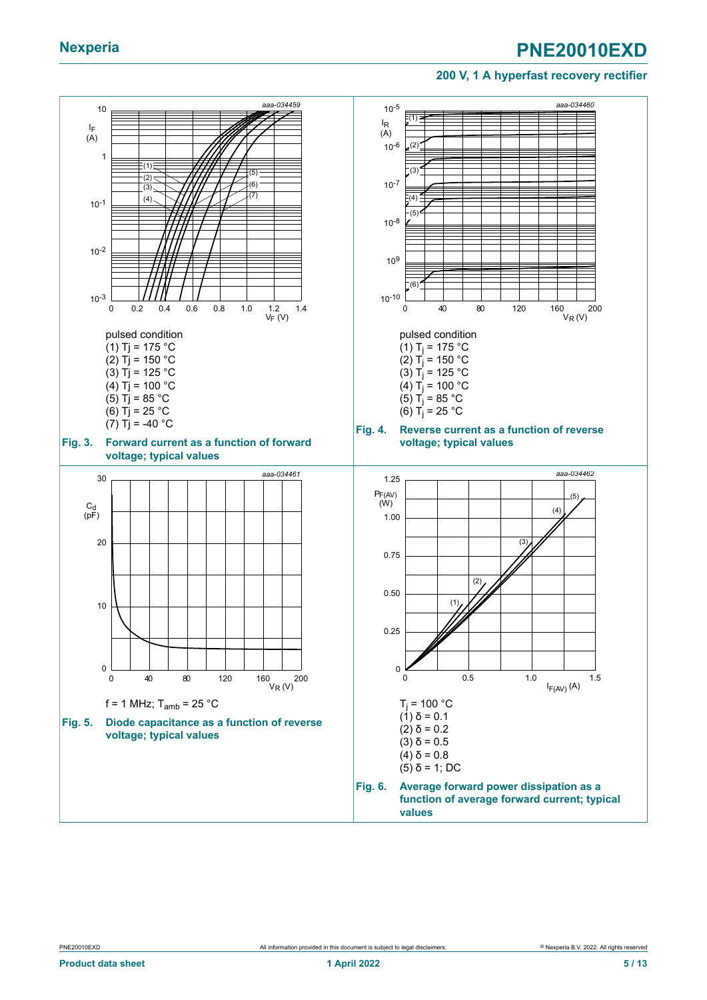#### **200 V, 1 A hyperfast recovery rectifier**

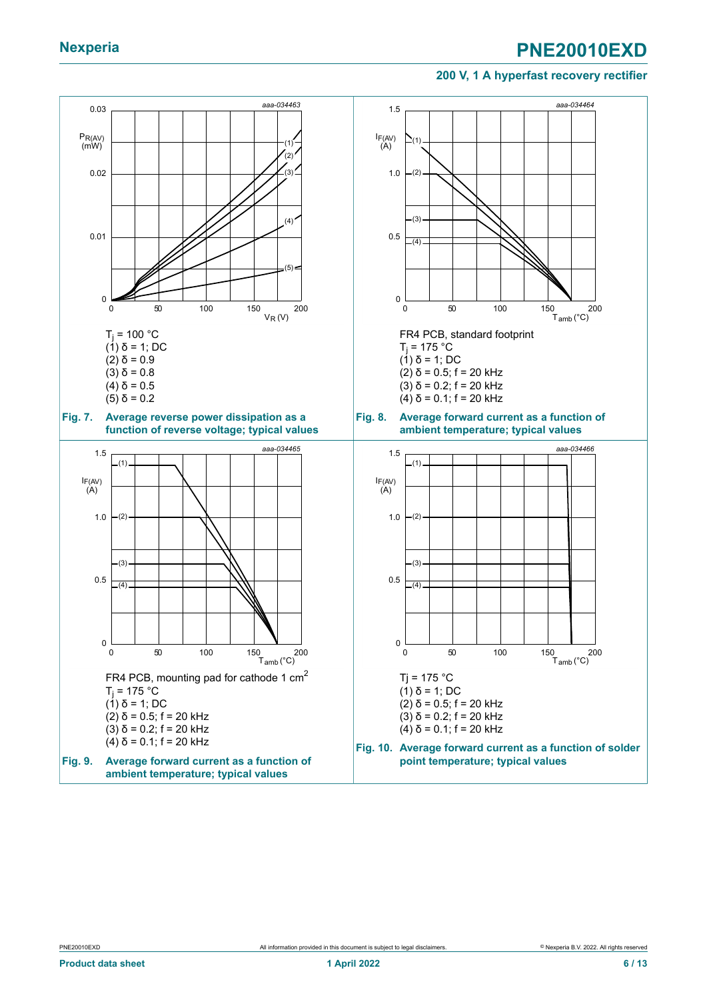#### **200 V, 1 A hyperfast recovery rectifier**

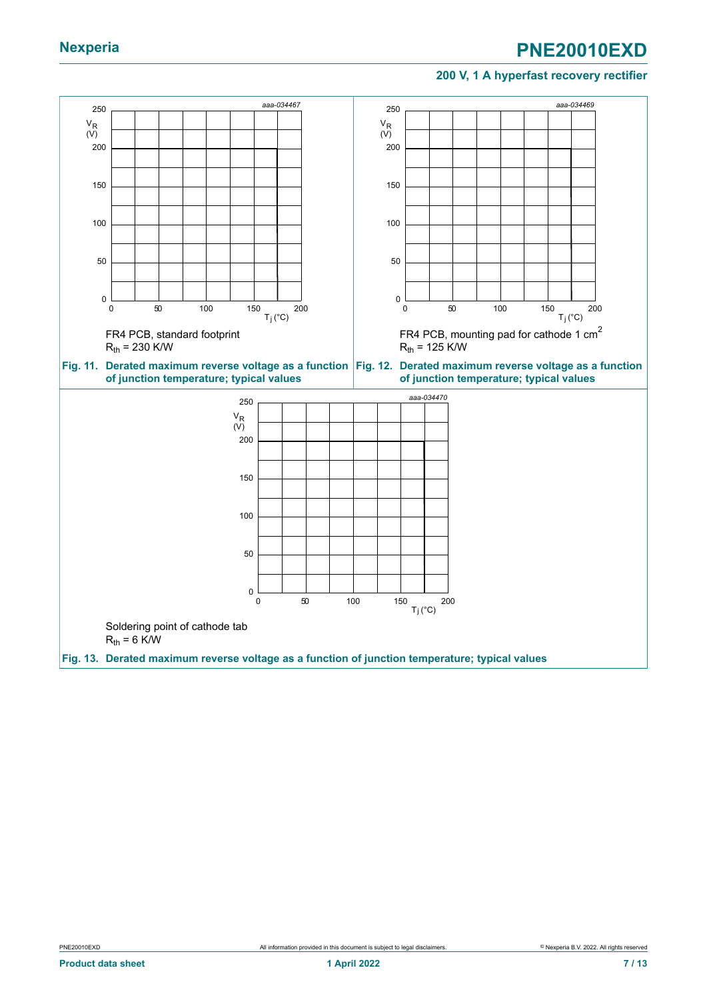#### **200 V, 1 A hyperfast recovery rectifier**

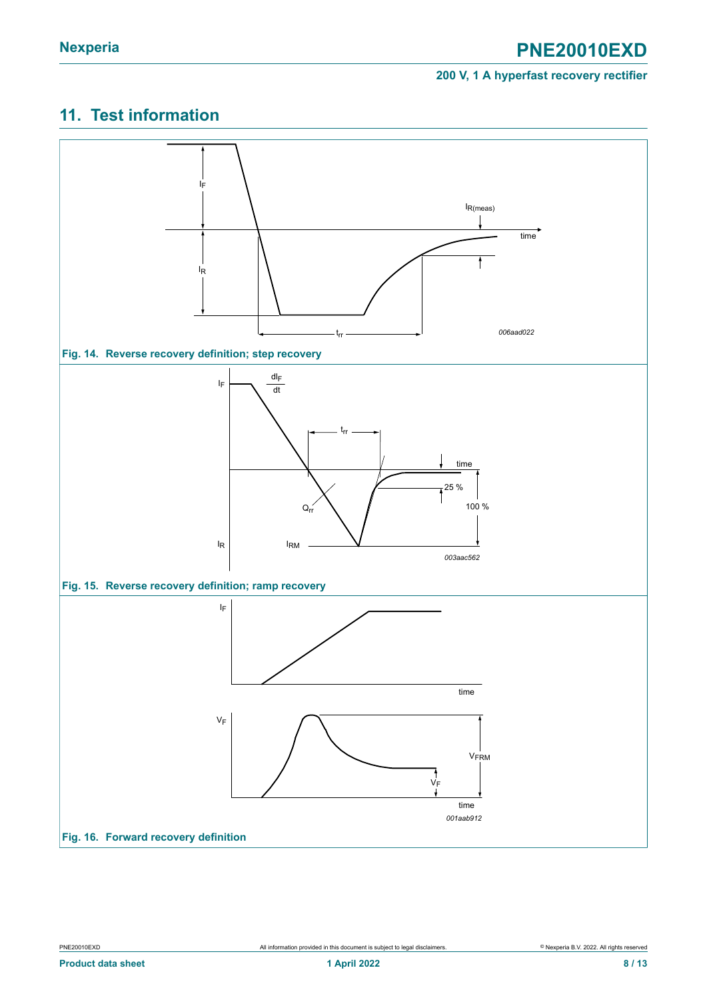### <span id="page-7-0"></span>**11. Test information**

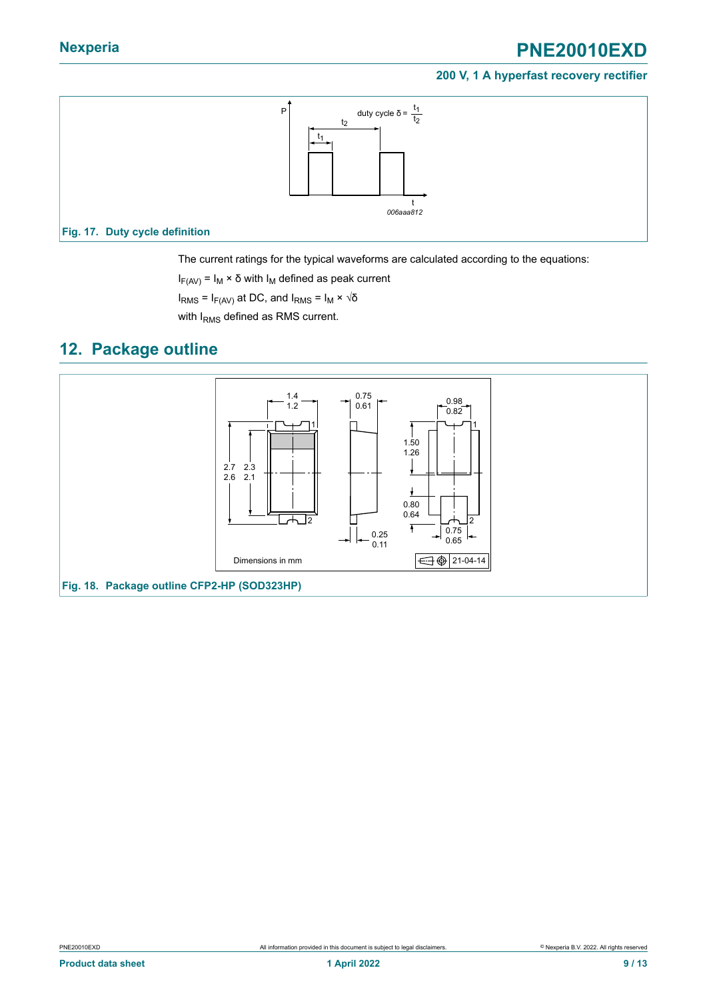#### **200 V, 1 A hyperfast recovery rectifier**



The current ratings for the typical waveforms are calculated according to the equations:

 $I_{F(AV)} = I_M \times \delta$  with  $I_M$  defined as peak current

 $I<sub>RMS</sub>$  = I<sub>F(AV)</sub> at DC, and I<sub>RMS</sub> = I<sub>M</sub> × √δ

with I<sub>RMS</sub> defined as RMS current.

#### <span id="page-8-0"></span>**12. Package outline**

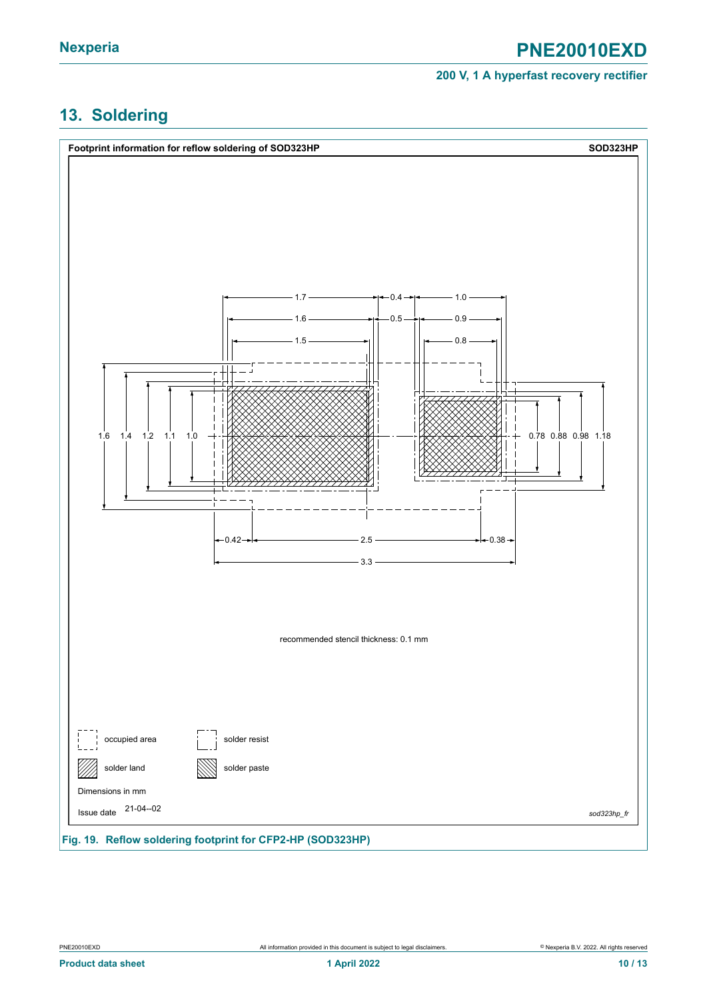# <span id="page-9-0"></span>**13. Soldering**

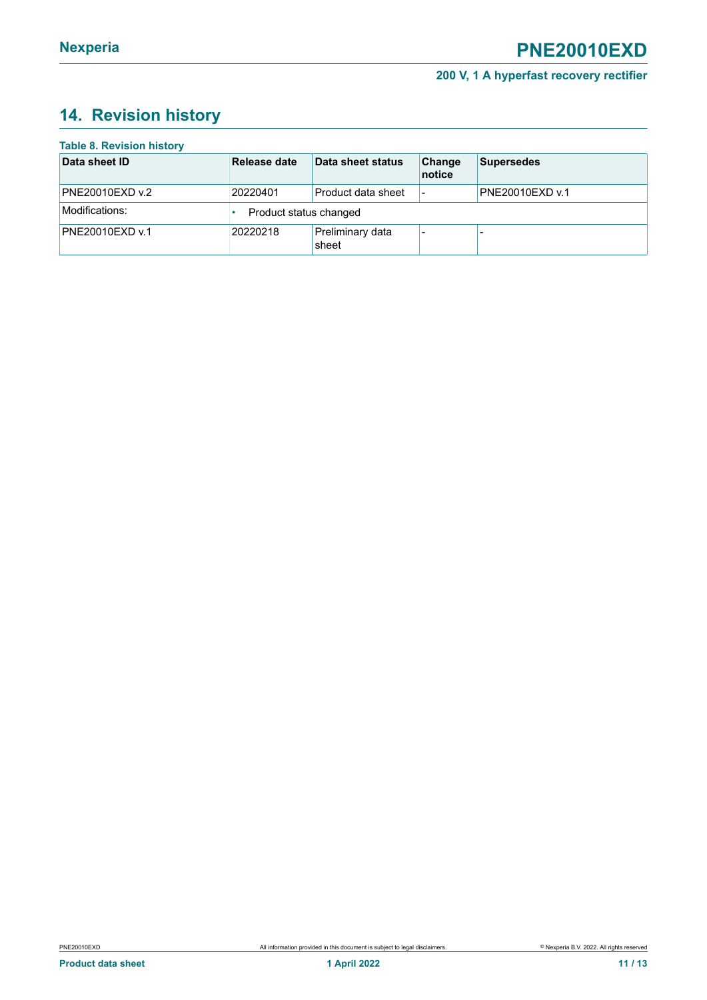# <span id="page-10-0"></span>**14. Revision history**

| <b>Table 8. Revision history</b> |                        |                           |                          |                   |
|----------------------------------|------------------------|---------------------------|--------------------------|-------------------|
| Data sheet ID                    | Release date           | Data sheet status         | Change<br>notice         | <b>Supersedes</b> |
| PNE20010EXD v.2                  | 20220401               | Product data sheet        | $\overline{\phantom{a}}$ | PNE20010EXD v.1   |
| Modifications:                   | Product status changed |                           |                          |                   |
| PNE20010EXD v.1                  | 20220218               | Preliminary data<br>sheet |                          |                   |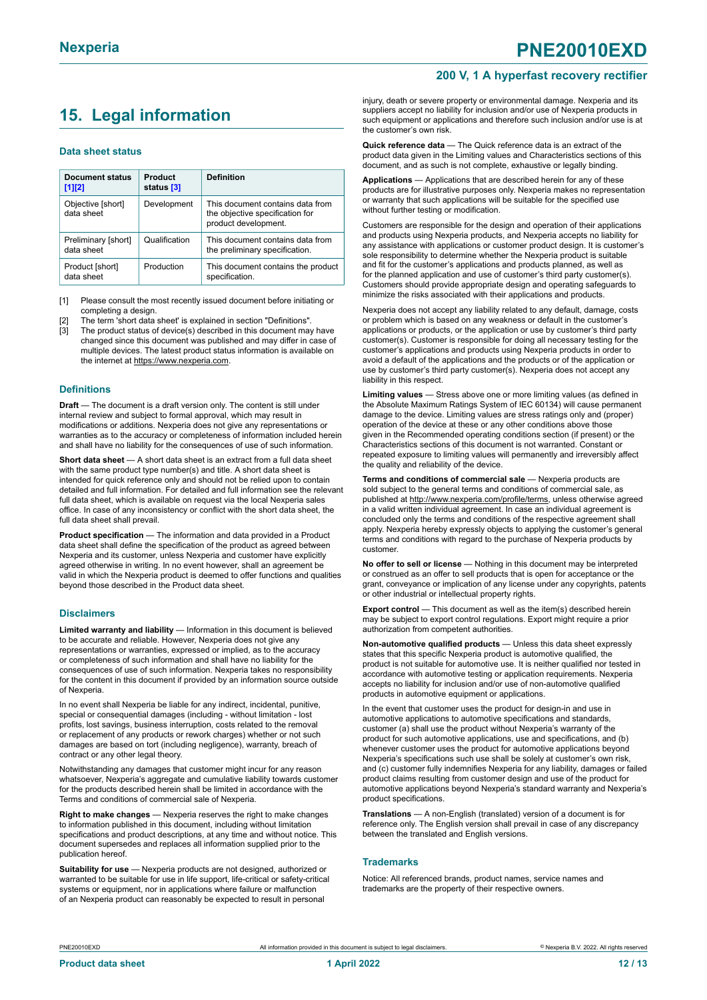### <span id="page-11-0"></span>**15. Legal information**

#### **Data sheet status**

| Document status<br>$[1]$ [2]      | <b>Product</b><br>status [3] | <b>Definition</b>                                                                           |
|-----------------------------------|------------------------------|---------------------------------------------------------------------------------------------|
| Objective [short]<br>data sheet   | Development                  | This document contains data from<br>the objective specification for<br>product development. |
| Preliminary [short]<br>data sheet | Qualification                | This document contains data from<br>the preliminary specification.                          |
| Product [short]<br>data sheet     | Production                   | This document contains the product<br>specification.                                        |

[1] Please consult the most recently issued document before initiating or completing a design.

- The term 'short data sheet' is explained in section "Definitions".
- [3] The product status of device(s) described in this document may have changed since this document was published and may differ in case of multiple devices. The latest product status information is available on the internet at [https://www.nexperia.com.](https://www.nexperia.com)

#### **Definitions**

**Draft** — The document is a draft version only. The content is still under internal review and subject to formal approval, which may result in modifications or additions. Nexperia does not give any representations or warranties as to the accuracy or completeness of information included herein and shall have no liability for the consequences of use of such information.

**Short data sheet** — A short data sheet is an extract from a full data sheet with the same product type number(s) and title. A short data sheet is intended for quick reference only and should not be relied upon to contain detailed and full information. For detailed and full information see the relevant full data sheet, which is available on request via the local Nexperia sales office. In case of any inconsistency or conflict with the short data sheet, the full data sheet shall prevail.

**Product specification** — The information and data provided in a Product data sheet shall define the specification of the product as agreed between Nexperia and its customer, unless Nexperia and customer have explicitly agreed otherwise in writing. In no event however, shall an agreement be valid in which the Nexperia product is deemed to offer functions and qualities beyond those described in the Product data sheet.

#### **Disclaimers**

**Limited warranty and liability** — Information in this document is believed to be accurate and reliable. However, Nexperia does not give any representations or warranties, expressed or implied, as to the accuracy or completeness of such information and shall have no liability for the consequences of use of such information. Nexperia takes no responsibility for the content in this document if provided by an information source outside of Nexperia.

In no event shall Nexperia be liable for any indirect, incidental, punitive, special or consequential damages (including - without limitation - lost profits, lost savings, business interruption, costs related to the removal or replacement of any products or rework charges) whether or not such damages are based on tort (including negligence), warranty, breach of contract or any other legal theory.

Notwithstanding any damages that customer might incur for any reason whatsoever, Nexperia's aggregate and cumulative liability towards customer for the products described herein shall be limited in accordance with the Terms and conditions of commercial sale of Nexperia.

**Right to make changes** — Nexperia reserves the right to make changes to information published in this document, including without limitation specifications and product descriptions, at any time and without notice. This document supersedes and replaces all information supplied prior to the publication hereof

**Suitability for use** — Nexperia products are not designed, authorized or warranted to be suitable for use in life support, life-critical or safety-critical systems or equipment, nor in applications where failure or malfunction of an Nexperia product can reasonably be expected to result in personal

injury, death or severe property or environmental damage. Nexperia and its suppliers accept no liability for inclusion and/or use of Nexperia products in such equipment or applications and therefore such inclusion and/or use is at the customer's own risk.

**Quick reference data** — The Quick reference data is an extract of the product data given in the Limiting values and Characteristics sections of this document, and as such is not complete, exhaustive or legally binding.

**Applications** — Applications that are described herein for any of these products are for illustrative purposes only. Nexperia makes no representation or warranty that such applications will be suitable for the specified use without further testing or modification.

Customers are responsible for the design and operation of their applications and products using Nexperia products, and Nexperia accepts no liability for any assistance with applications or customer product design. It is customer's sole responsibility to determine whether the Nexperia product is suitable and fit for the customer's applications and products planned, as well as for the planned application and use of customer's third party customer(s). Customers should provide appropriate design and operating safeguards to minimize the risks associated with their applications and products.

Nexperia does not accept any liability related to any default, damage, costs or problem which is based on any weakness or default in the customer's applications or products, or the application or use by customer's third party customer(s). Customer is responsible for doing all necessary testing for the customer's applications and products using Nexperia products in order to avoid a default of the applications and the products or of the application or use by customer's third party customer(s). Nexperia does not accept any liability in this respect.

**Limiting values** — Stress above one or more limiting values (as defined in the Absolute Maximum Ratings System of IEC 60134) will cause permanent damage to the device. Limiting values are stress ratings only and (proper) operation of the device at these or any other conditions above those given in the Recommended operating conditions section (if present) or the Characteristics sections of this document is not warranted. Constant or repeated exposure to limiting values will permanently and irreversibly affect the quality and reliability of the device.

**Terms and conditions of commercial sale** — Nexperia products are sold subject to the general terms and conditions of commercial sale, as published at [http://www.nexperia.com/profile/terms,](http://www.nexperia.com/profile/terms) unless otherwise agreed in a valid written individual agreement. In case an individual agreement is concluded only the terms and conditions of the respective agreement shall apply. Nexperia hereby expressly objects to applying the customer's general terms and conditions with regard to the purchase of Nexperia products by customer.

**No offer to sell or license** — Nothing in this document may be interpreted or construed as an offer to sell products that is open for acceptance or the grant, conveyance or implication of any license under any copyrights, patents or other industrial or intellectual property rights.

**Export control** — This document as well as the item(s) described herein may be subject to export control regulations. Export might require a prior authorization from competent authorities.

**Non-automotive qualified products** — Unless this data sheet expressly states that this specific Nexperia product is automotive qualified, the product is not suitable for automotive use. It is neither qualified nor tested in accordance with automotive testing or application requirements. Nexperia accepts no liability for inclusion and/or use of non-automotive qualified products in automotive equipment or applications.

In the event that customer uses the product for design-in and use in automotive applications to automotive specifications and standards, customer (a) shall use the product without Nexperia's warranty of the product for such automotive applications, use and specifications, and (b) whenever customer uses the product for automotive applications beyond Nexperia's specifications such use shall be solely at customer's own risk, and (c) customer fully indemnifies Nexperia for any liability, damages or failed product claims resulting from customer design and use of the product for automotive applications beyond Nexperia's standard warranty and Nexperia's product specifications.

**Translations** — A non-English (translated) version of a document is for reference only. The English version shall prevail in case of any discrepancy between the translated and English versions.

#### **Trademarks**

Notice: All referenced brands, product names, service names and trademarks are the property of their respective owners.